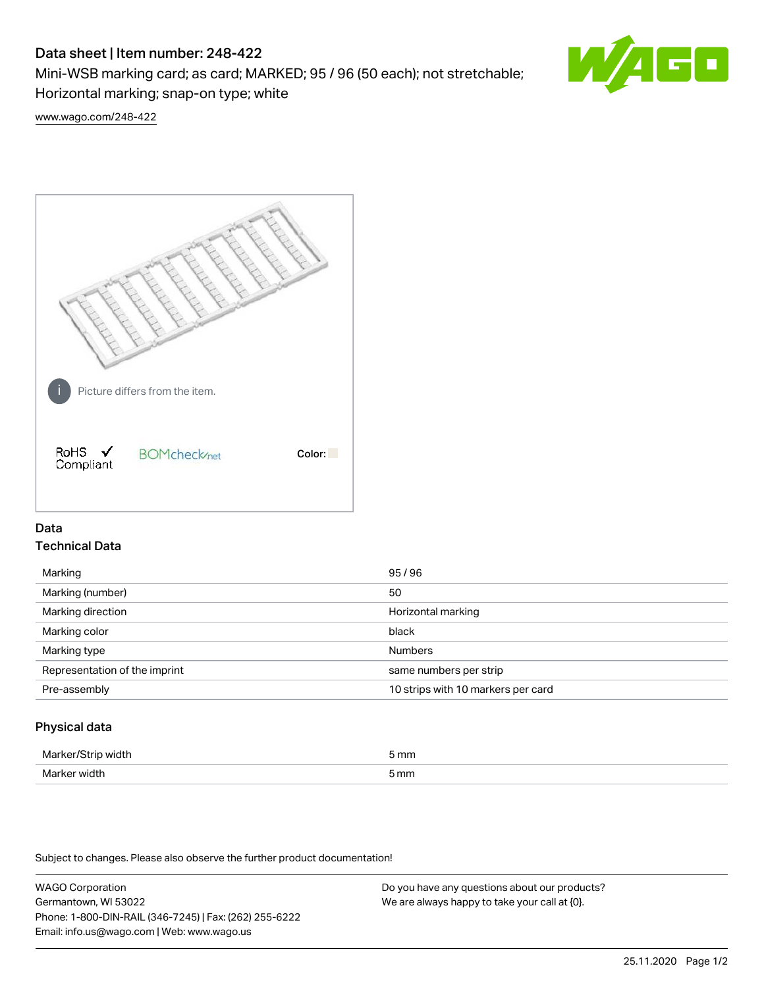# Data sheet | Item number: 248-422

Mini-WSB marking card; as card; MARKED; 95 / 96 (50 each); not stretchable; Horizontal marking; snap-on type; white



[www.wago.com/248-422](http://www.wago.com/248-422)



## Data Technical Data

| Marking                       | 95/96                              |
|-------------------------------|------------------------------------|
| Marking (number)              | 50                                 |
| Marking direction             | Horizontal marking                 |
| Marking color                 | black                              |
| Marking type                  | <b>Numbers</b>                     |
| Representation of the imprint | same numbers per strip             |
| Pre-assembly                  | 10 strips with 10 markers per card |
|                               |                                    |

## Physical data

| Marker<br><b>WINTI</b><br>י | 5 mm |
|-----------------------------|------|
| Marker width                | 5 mm |

Subject to changes. Please also observe the further product documentation!

WAGO Corporation Germantown, WI 53022 Phone: 1-800-DIN-RAIL (346-7245) | Fax: (262) 255-6222 Email: info.us@wago.com | Web: www.wago.us Do you have any questions about our products? We are always happy to take your call at {0}.